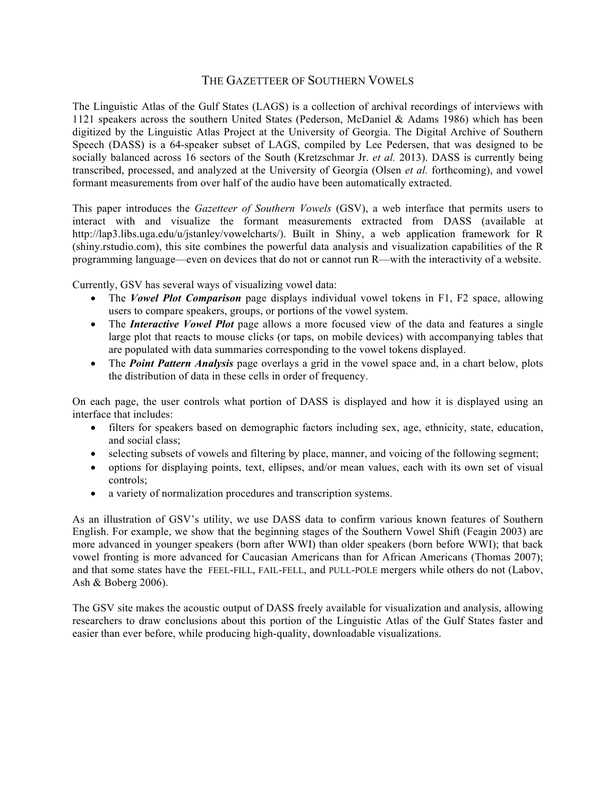## THE GAZETTEER OF SOUTHERN VOWELS

The Linguistic Atlas of the Gulf States (LAGS) is a collection of archival recordings of interviews with 1121 speakers across the southern United States (Pederson, McDaniel & Adams 1986) which has been digitized by the Linguistic Atlas Project at the University of Georgia. The Digital Archive of Southern Speech (DASS) is a 64-speaker subset of LAGS, compiled by Lee Pedersen, that was designed to be socially balanced across 16 sectors of the South (Kretzschmar Jr. *et al.* 2013). DASS is currently being transcribed, processed, and analyzed at the University of Georgia (Olsen *et al.* forthcoming), and vowel formant measurements from over half of the audio have been automatically extracted.

This paper introduces the *Gazetteer of Southern Vowels* (GSV), a web interface that permits users to interact with and visualize the formant measurements extracted from DASS (available at http://lap3.libs.uga.edu/u/jstanley/vowelcharts/). Built in Shiny, a web application framework for R (shiny.rstudio.com), this site combines the powerful data analysis and visualization capabilities of the R programming language—even on devices that do not or cannot run R—with the interactivity of a website.

Currently, GSV has several ways of visualizing vowel data:

- The *Vowel Plot Comparison* page displays individual vowel tokens in F1, F2 space, allowing users to compare speakers, groups, or portions of the vowel system.
- The *Interactive Vowel Plot* page allows a more focused view of the data and features a single large plot that reacts to mouse clicks (or taps, on mobile devices) with accompanying tables that are populated with data summaries corresponding to the vowel tokens displayed.
- The *Point Pattern Analysis* page overlays a grid in the vowel space and, in a chart below, plots the distribution of data in these cells in order of frequency.

On each page, the user controls what portion of DASS is displayed and how it is displayed using an interface that includes:

- filters for speakers based on demographic factors including sex, age, ethnicity, state, education, and social class;
- selecting subsets of vowels and filtering by place, manner, and voicing of the following segment;
- options for displaying points, text, ellipses, and/or mean values, each with its own set of visual controls;
- a variety of normalization procedures and transcription systems.

As an illustration of GSV's utility, we use DASS data to confirm various known features of Southern English. For example, we show that the beginning stages of the Southern Vowel Shift (Feagin 2003) are more advanced in younger speakers (born after WWI) than older speakers (born before WWI); that back vowel fronting is more advanced for Caucasian Americans than for African Americans (Thomas 2007); and that some states have the FEEL-FILL, FAIL-FELL, and PULL-POLE mergers while others do not (Labov, Ash & Boberg 2006).

The GSV site makes the acoustic output of DASS freely available for visualization and analysis, allowing researchers to draw conclusions about this portion of the Linguistic Atlas of the Gulf States faster and easier than ever before, while producing high-quality, downloadable visualizations.